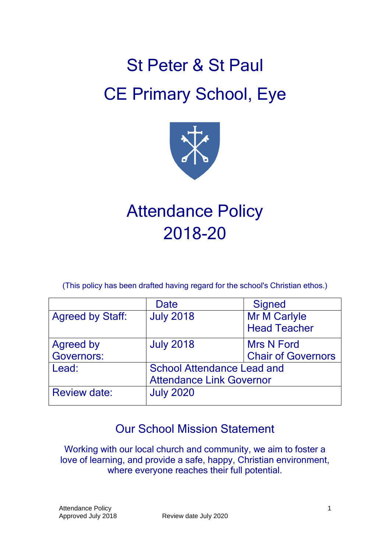# St Peter & St Paul CE Primary School, Eye



## Attendance Policy 2018-20

(This policy has been drafted having regard for the school's Christian ethos.)

|                         | Date                              | <b>Signed</b>             |
|-------------------------|-----------------------------------|---------------------------|
| <b>Agreed by Staff:</b> | <b>July 2018</b>                  | Mr M Carlyle              |
|                         |                                   | <b>Head Teacher</b>       |
| Agreed by               | <b>July 2018</b>                  | <b>Mrs N Ford</b>         |
| <b>Governors:</b>       |                                   | <b>Chair of Governors</b> |
| Lead:                   | <b>School Attendance Lead and</b> |                           |
|                         | <b>Attendance Link Governor</b>   |                           |
| <b>Review date:</b>     | <b>July 2020</b>                  |                           |

## Our School Mission Statement

Working with our local church and community, we aim to foster a love of learning, and provide a safe, happy, Christian environment, where everyone reaches their full potential.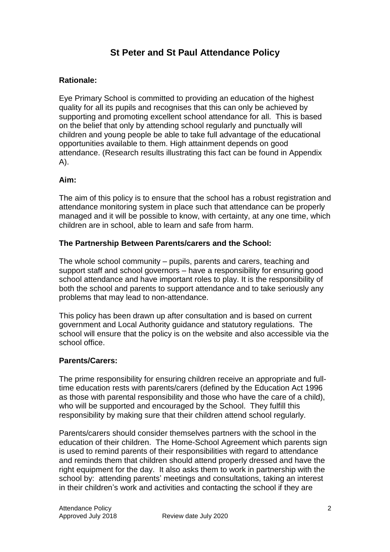## **St Peter and St Paul Attendance Policy**

#### **Rationale:**

Eye Primary School is committed to providing an education of the highest quality for all its pupils and recognises that this can only be achieved by supporting and promoting excellent school attendance for all. This is based on the belief that only by attending school regularly and punctually will children and young people be able to take full advantage of the educational opportunities available to them. High attainment depends on good attendance. (Research results illustrating this fact can be found in Appendix A).

#### **Aim:**

The aim of this policy is to ensure that the school has a robust registration and attendance monitoring system in place such that attendance can be properly managed and it will be possible to know, with certainty, at any one time, which children are in school, able to learn and safe from harm.

#### **The Partnership Between Parents/carers and the School:**

The whole school community – pupils, parents and carers, teaching and support staff and school governors – have a responsibility for ensuring good school attendance and have important roles to play. It is the responsibility of both the school and parents to support attendance and to take seriously any problems that may lead to non-attendance.

This policy has been drawn up after consultation and is based on current government and Local Authority guidance and statutory regulations. The school will ensure that the policy is on the website and also accessible via the school office.

#### **Parents/Carers:**

The prime responsibility for ensuring children receive an appropriate and fulltime education rests with parents/carers (defined by the Education Act 1996 as those with parental responsibility and those who have the care of a child), who will be supported and encouraged by the School. They fulfill this responsibility by making sure that their children attend school regularly.

Parents/carers should consider themselves partners with the school in the education of their children. The Home-School Agreement which parents sign is used to remind parents of their responsibilities with regard to attendance and reminds them that children should attend properly dressed and have the right equipment for the day. It also asks them to work in partnership with the school by: attending parents' meetings and consultations, taking an interest in their children's work and activities and contacting the school if they are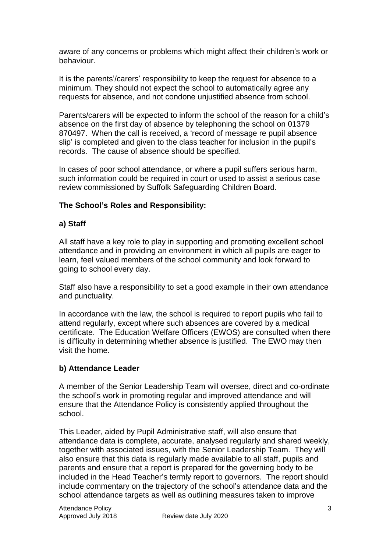aware of any concerns or problems which might affect their children's work or behaviour.

It is the parents'/carers' responsibility to keep the request for absence to a minimum. They should not expect the school to automatically agree any requests for absence, and not condone unjustified absence from school.

Parents/carers will be expected to inform the school of the reason for a child's absence on the first day of absence by telephoning the school on 01379 870497. When the call is received, a 'record of message re pupil absence slip' is completed and given to the class teacher for inclusion in the pupil's records. The cause of absence should be specified.

In cases of poor school attendance, or where a pupil suffers serious harm, such information could be required in court or used to assist a serious case review commissioned by Suffolk Safeguarding Children Board.

#### **The School's Roles and Responsibility:**

#### **a) Staff**

All staff have a key role to play in supporting and promoting excellent school attendance and in providing an environment in which all pupils are eager to learn, feel valued members of the school community and look forward to going to school every day.

Staff also have a responsibility to set a good example in their own attendance and punctuality.

In accordance with the law, the school is required to report pupils who fail to attend regularly, except where such absences are covered by a medical certificate. The Education Welfare Officers (EWOS) are consulted when there is difficulty in determining whether absence is justified. The EWO may then visit the home.

#### **b) Attendance Leader**

A member of the Senior Leadership Team will oversee, direct and co-ordinate the school's work in promoting regular and improved attendance and will ensure that the Attendance Policy is consistently applied throughout the school.

This Leader, aided by Pupil Administrative staff, will also ensure that attendance data is complete, accurate, analysed regularly and shared weekly, together with associated issues, with the Senior Leadership Team. They will also ensure that this data is regularly made available to all staff, pupils and parents and ensure that a report is prepared for the governing body to be included in the Head Teacher's termly report to governors. The report should include commentary on the trajectory of the school's attendance data and the school attendance targets as well as outlining measures taken to improve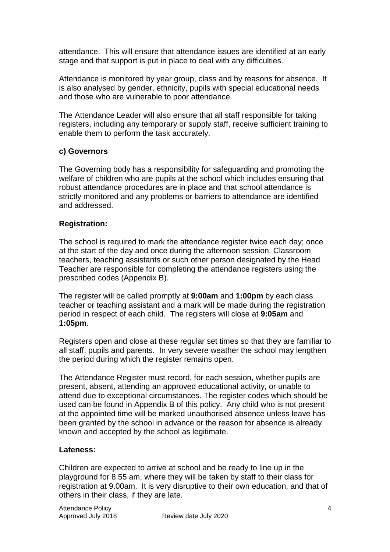attendance. This will ensure that attendance issues are identified at an early stage and that support is put in place to deal with any difficulties.

Attendance is monitored by year group, class and by reasons for absence. It is also analysed by gender, ethnicity, pupils with special educational needs and those who are vulnerable to poor attendance.

The Attendance Leader will also ensure that all staff responsible for taking registers, including any temporary or supply staff, receive sufficient training to enable them to perform the task accurately.

#### **c) Governors**

The Governing body has a responsibility for safeguarding and promoting the welfare of children who are pupils at the school which includes ensuring that robust attendance procedures are in place and that school attendance is strictly monitored and any problems or barriers to attendance are identified and addressed.

#### **Registration:**

The school is required to mark the attendance register twice each day; once at the start of the day and once during the afternoon session. Classroom teachers, teaching assistants or such other person designated by the Head Teacher are responsible for completing the attendance registers using the prescribed codes (Appendix B).

The register will be called promptly at **9:00am** and **1:00pm** by each class teacher or teaching assistant and a mark will be made during the registration period in respect of each child. The registers will close at **9:05am** and **1:05pm**.

Registers open and close at these regular set times so that they are familiar to all staff, pupils and parents. In very severe weather the school may lengthen the period during which the register remains open.

The Attendance Register must record, for each session, whether pupils are present, absent, attending an approved educational activity, or unable to attend due to exceptional circumstances. The register codes which should be used can be found in Appendix B of this policy. Any child who is not present at the appointed time will be marked unauthorised absence unless leave has been granted by the school in advance or the reason for absence is already known and accepted by the school as legitimate.

#### **Lateness:**

Children are expected to arrive at school and be ready to line up in the playground for 8.55 am, where they will be taken by staff to their class for registration at 9.00am. It is very disruptive to their own education, and that of others in their class, if they are late.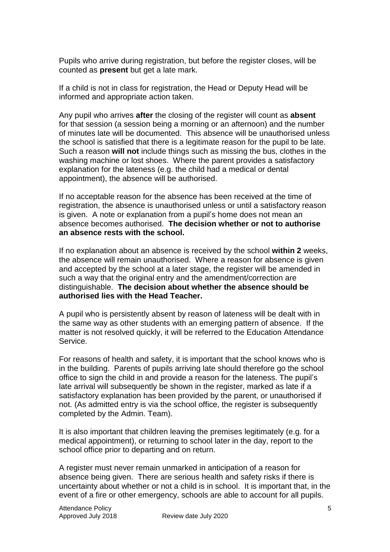Pupils who arrive during registration, but before the register closes, will be counted as **present** but get a late mark.

If a child is not in class for registration, the Head or Deputy Head will be informed and appropriate action taken.

Any pupil who arrives **after** the closing of the register will count as **absent** for that session (a session being a morning or an afternoon) and the number of minutes late will be documented. This absence will be unauthorised unless the school is satisfied that there is a legitimate reason for the pupil to be late. Such a reason **will not** include things such as missing the bus, clothes in the washing machine or lost shoes. Where the parent provides a satisfactory explanation for the lateness (e.g. the child had a medical or dental appointment), the absence will be authorised.

If no acceptable reason for the absence has been received at the time of registration, the absence is unauthorised unless or until a satisfactory reason is given. A note or explanation from a pupil's home does not mean an absence becomes authorised. **The decision whether or not to authorise an absence rests with the school.**

If no explanation about an absence is received by the school **within 2** weeks, the absence will remain unauthorised. Where a reason for absence is given and accepted by the school at a later stage, the register will be amended in such a way that the original entry and the amendment/correction are distinguishable. **The decision about whether the absence should be authorised lies with the Head Teacher.**

A pupil who is persistently absent by reason of lateness will be dealt with in the same way as other students with an emerging pattern of absence. If the matter is not resolved quickly, it will be referred to the Education Attendance Service.

For reasons of health and safety, it is important that the school knows who is in the building. Parents of pupils arriving late should therefore go the school office to sign the child in and provide a reason for the lateness. The pupil's late arrival will subsequently be shown in the register, marked as late if a satisfactory explanation has been provided by the parent, or unauthorised if not. (As admitted entry is via the school office, the register is subsequently completed by the Admin. Team).

It is also important that children leaving the premises legitimately (e.g. for a medical appointment), or returning to school later in the day, report to the school office prior to departing and on return.

A register must never remain unmarked in anticipation of a reason for absence being given. There are serious health and safety risks if there is uncertainty about whether or not a child is in school. It is important that, in the event of a fire or other emergency, schools are able to account for all pupils.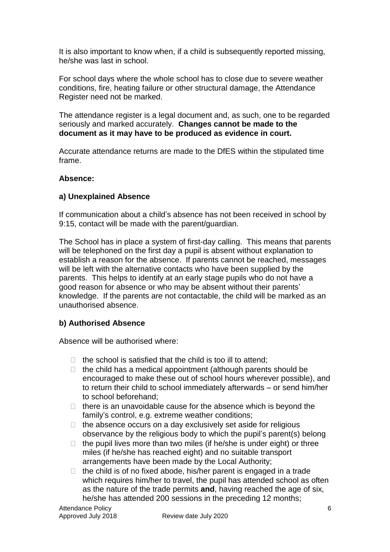It is also important to know when, if a child is subsequently reported missing, he/she was last in school.

For school days where the whole school has to close due to severe weather conditions, fire, heating failure or other structural damage, the Attendance Register need not be marked.

The attendance register is a legal document and, as such, one to be regarded seriously and marked accurately. **Changes cannot be made to the document as it may have to be produced as evidence in court.**

Accurate attendance returns are made to the DfES within the stipulated time frame.

#### **Absence:**

#### **a) Unexplained Absence**

If communication about a child's absence has not been received in school by 9:15, contact will be made with the parent/guardian.

The School has in place a system of first-day calling. This means that parents will be telephoned on the first day a pupil is absent without explanation to establish a reason for the absence. If parents cannot be reached, messages will be left with the alternative contacts who have been supplied by the parents. This helps to identify at an early stage pupils who do not have a good reason for absence or who may be absent without their parents' knowledge. If the parents are not contactable, the child will be marked as an unauthorised absence.

#### **b) Authorised Absence**

Absence will be authorised where:

- $\Box$  the school is satisfied that the child is too ill to attend;
- $\Box$  the child has a medical appointment (although parents should be encouraged to make these out of school hours wherever possible), and to return their child to school immediately afterwards – or send him/her to school beforehand;
- $\Box$  there is an unavoidable cause for the absence which is beyond the family's control, e.g. extreme weather conditions;
- $\Box$  the absence occurs on a day exclusively set aside for religious observance by the religious body to which the pupil's parent(s) belong
- $\Box$  the pupil lives more than two miles (if he/she is under eight) or three miles (if he/she has reached eight) and no suitable transport arrangements have been made by the Local Authority;
- $\Box$  the child is of no fixed abode, his/her parent is engaged in a trade which requires him/her to travel, the pupil has attended school as often as the nature of the trade permits **and**, having reached the age of six, he/she has attended 200 sessions in the preceding 12 months;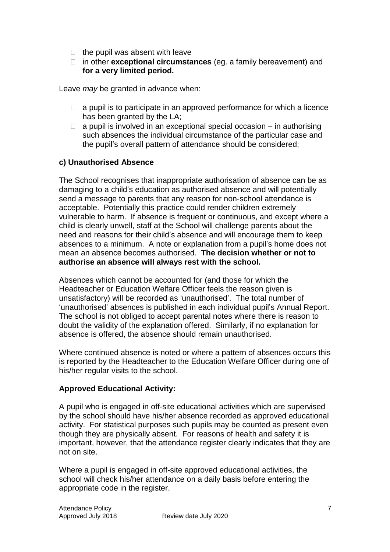- $\Box$  the pupil was absent with leave
- in other **exceptional circumstances** (eg. a family bereavement) and **for a very limited period.**

Leave *may* be granted in advance when:

- $\Box$  a pupil is to participate in an approved performance for which a licence has been granted by the LA;
- $\Box$  a pupil is involved in an exceptional special occasion in authorising such absences the individual circumstance of the particular case and the pupil's overall pattern of attendance should be considered;

#### **c) Unauthorised Absence**

The School recognises that inappropriate authorisation of absence can be as damaging to a child's education as authorised absence and will potentially send a message to parents that any reason for non-school attendance is acceptable. Potentially this practice could render children extremely vulnerable to harm. If absence is frequent or continuous, and except where a child is clearly unwell, staff at the School will challenge parents about the need and reasons for their child's absence and will encourage them to keep absences to a minimum. A note or explanation from a pupil's home does not mean an absence becomes authorised. **The decision whether or not to authorise an absence will always rest with the school.**

Absences which cannot be accounted for (and those for which the Headteacher or Education Welfare Officer feels the reason given is unsatisfactory) will be recorded as 'unauthorised'. The total number of 'unauthorised' absences is published in each individual pupil's Annual Report. The school is not obliged to accept parental notes where there is reason to doubt the validity of the explanation offered. Similarly, if no explanation for absence is offered, the absence should remain unauthorised.

Where continued absence is noted or where a pattern of absences occurs this is reported by the Headteacher to the Education Welfare Officer during one of his/her regular visits to the school.

#### **Approved Educational Activity:**

A pupil who is engaged in off-site educational activities which are supervised by the school should have his/her absence recorded as approved educational activity. For statistical purposes such pupils may be counted as present even though they are physically absent. For reasons of health and safety it is important, however, that the attendance register clearly indicates that they are not on site.

Where a pupil is engaged in off-site approved educational activities, the school will check his/her attendance on a daily basis before entering the appropriate code in the register.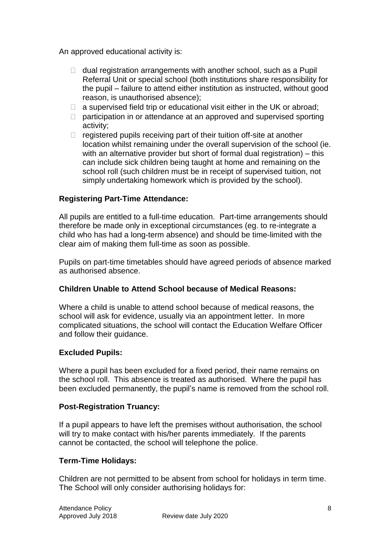An approved educational activity is:

- $\Box$  dual registration arrangements with another school, such as a Pupil Referral Unit or special school (both institutions share responsibility for the pupil – failure to attend either institution as instructed, without good reason, is unauthorised absence);
- $\Box$  a supervised field trip or educational visit either in the UK or abroad;
- $\Box$  participation in or attendance at an approved and supervised sporting activity;
- $\Box$  registered pupils receiving part of their tuition off-site at another location whilst remaining under the overall supervision of the school (ie. with an alternative provider but short of formal dual registration) – this can include sick children being taught at home and remaining on the school roll (such children must be in receipt of supervised tuition, not simply undertaking homework which is provided by the school).

#### **Registering Part-Time Attendance:**

All pupils are entitled to a full-time education. Part-time arrangements should therefore be made only in exceptional circumstances (eg. to re-integrate a child who has had a long-term absence) and should be time-limited with the clear aim of making them full-time as soon as possible.

Pupils on part-time timetables should have agreed periods of absence marked as authorised absence.

#### **Children Unable to Attend School because of Medical Reasons:**

Where a child is unable to attend school because of medical reasons, the school will ask for evidence, usually via an appointment letter. In more complicated situations, the school will contact the Education Welfare Officer and follow their guidance.

#### **Excluded Pupils:**

Where a pupil has been excluded for a fixed period, their name remains on the school roll. This absence is treated as authorised. Where the pupil has been excluded permanently, the pupil's name is removed from the school roll.

#### **Post-Registration Truancy:**

If a pupil appears to have left the premises without authorisation, the school will try to make contact with his/her parents immediately. If the parents cannot be contacted, the school will telephone the police.

#### **Term-Time Holidays:**

Children are not permitted to be absent from school for holidays in term time. The School will only consider authorising holidays for: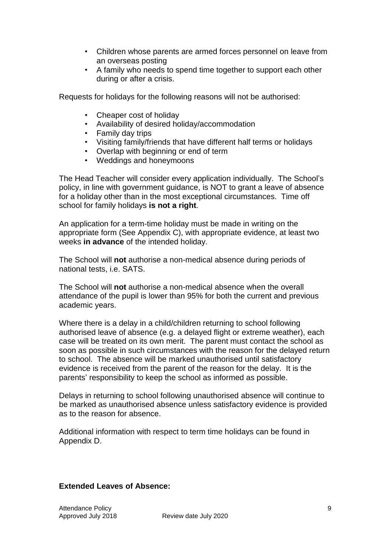- Children whose parents are armed forces personnel on leave from an overseas posting
- A family who needs to spend time together to support each other during or after a crisis.

Requests for holidays for the following reasons will not be authorised:

- Cheaper cost of holiday
- Availability of desired holiday/accommodation
- Family day trips
- Visiting family/friends that have different half terms or holidays
- Overlap with beginning or end of term
- Weddings and honeymoons

The Head Teacher will consider every application individually. The School's policy, in line with government guidance, is NOT to grant a leave of absence for a holiday other than in the most exceptional circumstances. Time off school for family holidays **is not a right**.

An application for a term-time holiday must be made in writing on the appropriate form (See Appendix C), with appropriate evidence, at least two weeks **in advance** of the intended holiday.

The School will **not** authorise a non-medical absence during periods of national tests, i.e. SATS.

The School will **not** authorise a non-medical absence when the overall attendance of the pupil is lower than 95% for both the current and previous academic years.

Where there is a delay in a child/children returning to school following authorised leave of absence (e.g. a delayed flight or extreme weather), each case will be treated on its own merit. The parent must contact the school as soon as possible in such circumstances with the reason for the delayed return to school. The absence will be marked unauthorised until satisfactory evidence is received from the parent of the reason for the delay. It is the parents' responsibility to keep the school as informed as possible.

Delays in returning to school following unauthorised absence will continue to be marked as unauthorised absence unless satisfactory evidence is provided as to the reason for absence.

Additional information with respect to term time holidays can be found in Appendix D.

#### **Extended Leaves of Absence:**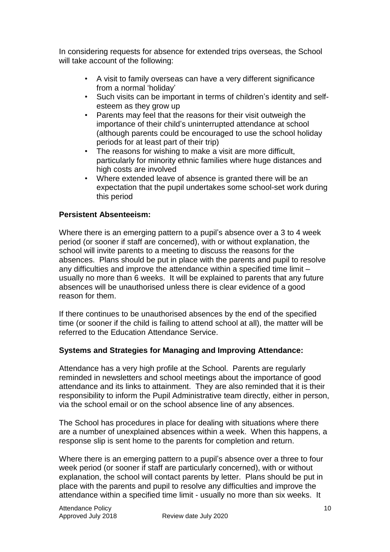In considering requests for absence for extended trips overseas, the School will take account of the following:

- A visit to family overseas can have a very different significance from a normal 'holiday'
- Such visits can be important in terms of children's identity and selfesteem as they grow up
- Parents may feel that the reasons for their visit outweigh the importance of their child's uninterrupted attendance at school (although parents could be encouraged to use the school holiday periods for at least part of their trip)
- The reasons for wishing to make a visit are more difficult, particularly for minority ethnic families where huge distances and high costs are involved
- Where extended leave of absence is granted there will be an expectation that the pupil undertakes some school-set work during this period

#### **Persistent Absenteeism:**

Where there is an emerging pattern to a pupil's absence over a 3 to 4 week period (or sooner if staff are concerned), with or without explanation, the school will invite parents to a meeting to discuss the reasons for the absences. Plans should be put in place with the parents and pupil to resolve any difficulties and improve the attendance within a specified time limit – usually no more than 6 weeks. It will be explained to parents that any future absences will be unauthorised unless there is clear evidence of a good reason for them.

If there continues to be unauthorised absences by the end of the specified time (or sooner if the child is failing to attend school at all), the matter will be referred to the Education Attendance Service.

#### **Systems and Strategies for Managing and Improving Attendance:**

Attendance has a very high profile at the School. Parents are regularly reminded in newsletters and school meetings about the importance of good attendance and its links to attainment. They are also reminded that it is their responsibility to inform the Pupil Administrative team directly, either in person, via the school email or on the school absence line of any absences.

The School has procedures in place for dealing with situations where there are a number of unexplained absences within a week. When this happens, a response slip is sent home to the parents for completion and return.

Where there is an emerging pattern to a pupil's absence over a three to four week period (or sooner if staff are particularly concerned), with or without explanation, the school will contact parents by letter. Plans should be put in place with the parents and pupil to resolve any difficulties and improve the attendance within a specified time limit - usually no more than six weeks. It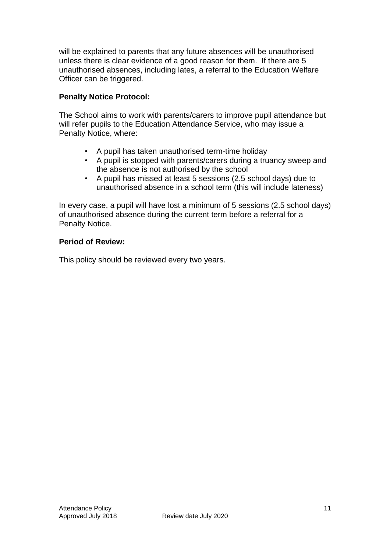will be explained to parents that any future absences will be unauthorised unless there is clear evidence of a good reason for them. If there are 5 unauthorised absences, including lates, a referral to the Education Welfare Officer can be triggered.

#### **Penalty Notice Protocol:**

The School aims to work with parents/carers to improve pupil attendance but will refer pupils to the Education Attendance Service, who may issue a Penalty Notice, where:

- A pupil has taken unauthorised term-time holiday
- A pupil is stopped with parents/carers during a truancy sweep and the absence is not authorised by the school
- A pupil has missed at least 5 sessions (2.5 school days) due to unauthorised absence in a school term (this will include lateness)

In every case, a pupil will have lost a minimum of 5 sessions (2.5 school days) of unauthorised absence during the current term before a referral for a Penalty Notice.

#### **Period of Review:**

This policy should be reviewed every two years.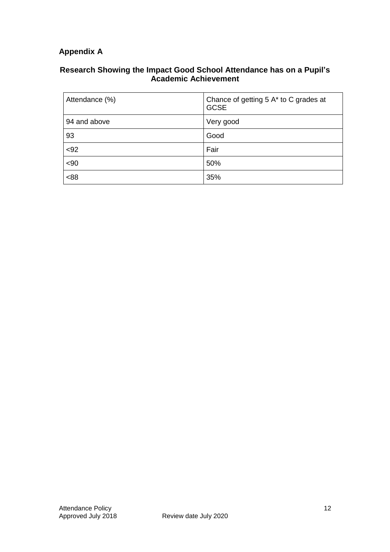## **Appendix A**

#### **Research Showing the Impact Good School Attendance has on a Pupil's Academic Achievement**

| Attendance (%) | Chance of getting 5 A* to C grades at<br><b>GCSE</b> |
|----------------|------------------------------------------------------|
| 94 and above   | Very good                                            |
| 93             | Good                                                 |
| <92            | Fair                                                 |
| <90            | 50%                                                  |
| &88            | 35%                                                  |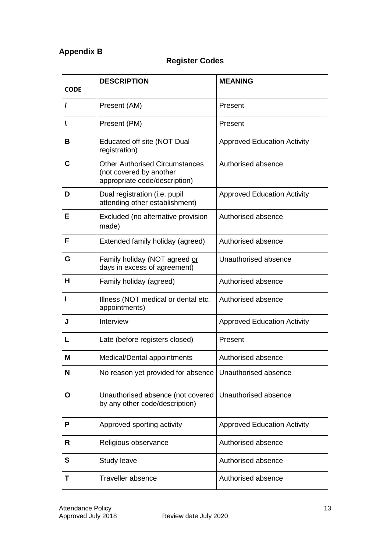## **Appendix B**

## **Register Codes**

| <b>CODE</b> | <b>DESCRIPTION</b>                                                                                | <b>MEANING</b>                     |  |
|-------------|---------------------------------------------------------------------------------------------------|------------------------------------|--|
| I           | Present (AM)                                                                                      | Present                            |  |
| V           | Present (PM)                                                                                      | Present                            |  |
| В           | Educated off site (NOT Dual<br>registration)                                                      | <b>Approved Education Activity</b> |  |
| C           | <b>Other Authorised Circumstances</b><br>(not covered by another<br>appropriate code/description) | Authorised absence                 |  |
| D           | Dual registration (i.e. pupil<br>attending other establishment)                                   | <b>Approved Education Activity</b> |  |
| Е           | Excluded (no alternative provision<br>made)                                                       | Authorised absence                 |  |
| F           | Extended family holiday (agreed)                                                                  | Authorised absence                 |  |
| G           | Family holiday (NOT agreed or<br>days in excess of agreement)                                     | Unauthorised absence               |  |
| н           | Family holiday (agreed)                                                                           | Authorised absence                 |  |
| п           | Illness (NOT medical or dental etc.<br>appointments)                                              | Authorised absence                 |  |
| J           | Interview                                                                                         | <b>Approved Education Activity</b> |  |
| L           | Late (before registers closed)                                                                    | Present                            |  |
| Μ           | Medical/Dental appointments                                                                       | Authorised absence                 |  |
| N           | No reason yet provided for absence                                                                | Unauthorised absence               |  |
| O           | Unauthorised absence (not covered<br>by any other code/description)                               | Unauthorised absence               |  |
| P           | Approved sporting activity                                                                        | <b>Approved Education Activity</b> |  |
| R           | Religious observance                                                                              | Authorised absence                 |  |
| S           | Study leave                                                                                       | Authorised absence                 |  |
| Τ           | <b>Traveller absence</b>                                                                          | Authorised absence                 |  |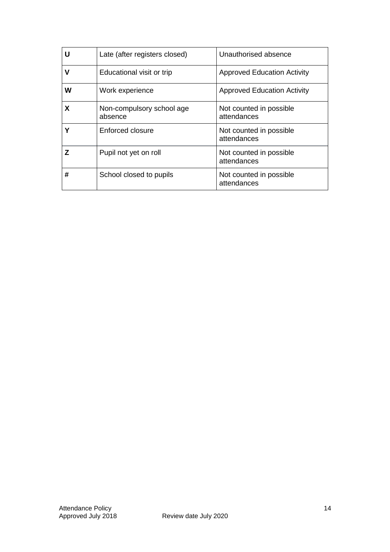| U | Late (after registers closed)        | Unauthorised absence                   |  |
|---|--------------------------------------|----------------------------------------|--|
| v | Educational visit or trip            | <b>Approved Education Activity</b>     |  |
| W | Work experience                      | <b>Approved Education Activity</b>     |  |
| X | Non-compulsory school age<br>absence | Not counted in possible<br>attendances |  |
|   | Enforced closure                     | Not counted in possible<br>attendances |  |
| z | Pupil not yet on roll                | Not counted in possible<br>attendances |  |
| # | School closed to pupils              | Not counted in possible<br>attendances |  |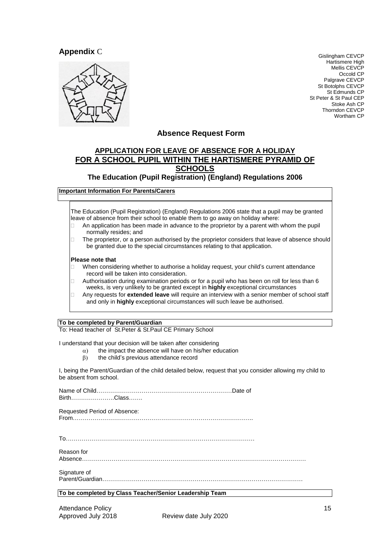#### **Appendix** C



Gislingham CEVCP Hartismere High Mellis CEVCP Occold CP Palgrave CEVCP St Botolphs CEVCP St Edmunds CP St Peter & St Paul CEP Stoke Ash CP Thorndon CEVCP Wortham CP

#### **Absence Request Form**

#### **APPLICATION FOR LEAVE OF ABSENCE FOR A HOLIDAY FOR A SCHOOL PUPIL WITHIN THE HARTISMERE PYRAMID OF SCHOOLS**

#### **The Education (Pupil Registration) (England) Regulations 2006**

**Important Information For Parents/Carers**

The Education (Pupil Registration) (England) Regulations 2006 state that a pupil may be granted leave of absence from their school to enable them to go away on holiday where:

- $\Box$  An application has been made in advance to the proprietor by a parent with whom the pupil normally resides; and
- $\Box$  The proprietor, or a person authorised by the proprietor considers that leave of absence should be granted due to the special circumstances relating to that application.

#### **Please note that**

- When considering whether to authorise a holiday request, your child's current attendance record will be taken into consideration.
- Authorisation during examination periods or for a pupil who has been on roll for less than 6 weeks, is very unlikely to be granted except in **highly** exceptional circumstances
- Any requests for **extended leave** will require an interview with a senior member of school staff and only in **highly** exceptional circumstances will such leave be authorised.

**To be completed by Parent/Guardian**

To: Head teacher of St.Peter & St.Paul CE Primary School

I understand that your decision will be taken after considering

- $\alpha$ ) the impact the absence will have on his/her education
	- $\beta$ ) the child's previous attendance record

I, being the Parent/Guardian of the child detailed below, request that you consider allowing my child to be absent from school.

Name of Child……………………………………………………………Date of Birth………………….Class…….

Requested Period of Absence: From………………………………………………………………………………..

To……………………………………………………………………………………

Reason for

Absence……………………………………………………………………………………………………

Signature of Parent/Guardian…………………………………………………………………………………………

**To be completed by Class Teacher/Senior Leadership Team**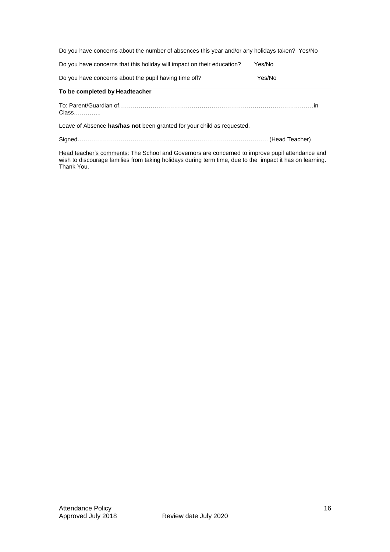| Do you have concerns about the number of absences this year and/or any holidays taken? Yes/No |        |  |  |  |
|-----------------------------------------------------------------------------------------------|--------|--|--|--|
| Do you have concerns that this holiday will impact on their education?                        | Yes/No |  |  |  |
| Do you have concerns about the pupil having time off?                                         | Yes/No |  |  |  |
| To be completed by Headteacher                                                                |        |  |  |  |
| Class                                                                                         |        |  |  |  |
| Leave of Absence has/has not been granted for your child as requested.                        |        |  |  |  |
|                                                                                               |        |  |  |  |

<u>Head teacher's comments:</u> The School and Governors are concerned to improve pupil attendance and wish to discourage families from taking holidays during term time, due to the impact it has on learning. Thank You.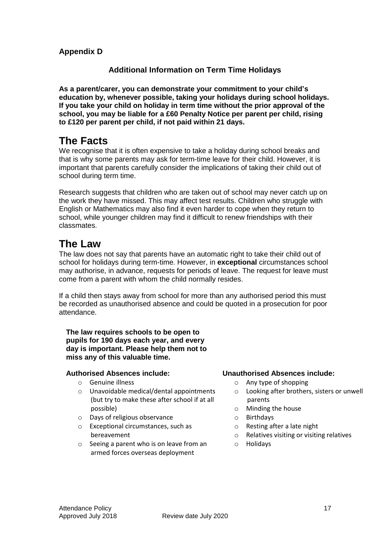#### **Appendix D**

#### **Additional Information on Term Time Holidays**

**As a parent/carer, you can demonstrate your commitment to your child's education by, whenever possible, taking your holidays during school holidays. If you take your child on holiday in term time without the prior approval of the school, you may be liable for a £60 Penalty Notice per parent per child, rising to £120 per parent per child, if not paid within 21 days.**

## **The Facts**

We recognise that it is often expensive to take a holiday during school breaks and that is why some parents may ask for term-time leave for their child. However, it is important that parents carefully consider the implications of taking their child out of school during term time.

Research suggests that children who are taken out of school may never catch up on the work they have missed. This may affect test results. Children who struggle with English or Mathematics may also find it even harder to cope when they return to school, while younger children may find it difficult to renew friendships with their classmates.

## **The Law**

The law does not say that parents have an automatic right to take their child out of school for holidays during term-time. However, in **exceptional** circumstances school may authorise, in advance, requests for periods of leave. The request for leave must come from a parent with whom the child normally resides.

If a child then stays away from school for more than any authorised period this must be recorded as unauthorised absence and could be quoted in a prosecution for poor attendance.

#### **The law requires schools to be open to pupils for 190 days each year, and every day is important. Please help them not to miss any of this valuable time.**

#### **Authorised Absences include:**

- o Genuine illness
- o Unavoidable medical/dental appointments (but try to make these after school if at all possible)
- o Days of religious observance
- o Exceptional circumstances, such as bereavement
- o Seeing a parent who is on leave from an armed forces overseas deployment

#### **Unauthorised Absences include:**

- o Any type of shopping
- o Looking after brothers, sisters or unwell parents
- o Minding the house
- o Birthdays
- o Resting after a late night
- o Relatives visiting or visiting relatives
- o Holidays